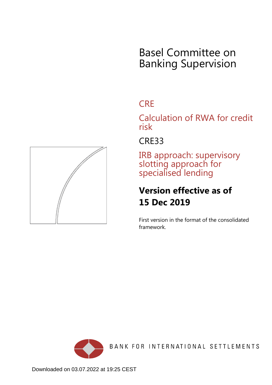# Basel Committee on Banking Supervision

## **CRE**

Calculation of RWA for credit risk

### CRE33

IRB approach: supervisory slotting approach for specialised lending

## **Version effective as of 15 Dec 2019**

First version in the format of the consolidated framework.



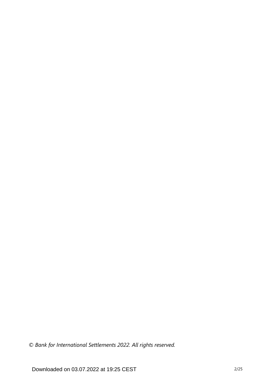*© Bank for International Settlements 2022. All rights reserved.*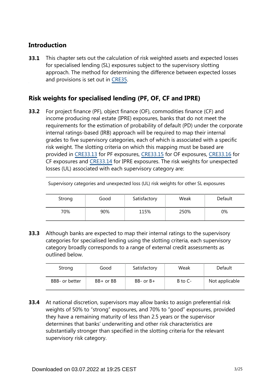#### **Introduction**

This chapter sets out the calculation of risk weighted assets and expected losses for specialised lending (SL) exposures subject to the supervisory slotting approach. The method for determining the difference between expected losses and provisions is set out in [CRE35](https://www.bis.org/basel_framework/chapter/CRE/35.htm?tldate=20220114&inforce=20191215&published=20191215). **33.1**

### **Risk weights for specialised lending (PF, OF, CF and IPRE)**

For project finance (PF), object finance (OF), commodities finance (CF) and income producing real estate (IPRE) exposures, banks that do not meet the requirements for the estimation of probability of default (PD) under the corporate internal ratings-based (IRB) approach will be required to map their internal grades to five supervisory categories, each of which is associated with a specific risk weight. The slotting criteria on which this mapping must be based are provided in [CRE33.13](https://www.bis.org/basel_framework/chapter/CRE/33.htm?tldate=20220114&inforce=20191215&published=20191215#paragraph_CRE_33_20191215_33_13) for PF exposures, [CRE33.15](https://www.bis.org/basel_framework/chapter/CRE/33.htm?tldate=20220114&inforce=20191215&published=20191215#paragraph_CRE_33_20191215_33_15) for OF exposures, [CRE33.16](https://www.bis.org/basel_framework/chapter/CRE/33.htm?tldate=20220114&inforce=20191215&published=20191215#paragraph_CRE_33_20191215_33_16) for CF exposures and [CRE33.14](https://www.bis.org/basel_framework/chapter/CRE/33.htm?tldate=20220114&inforce=20191215&published=20191215#paragraph_CRE_33_20191215_33_14) for IPRE exposures. The risk weights for unexpected losses (UL) associated with each supervisory category are: **33.2**

Supervisory categories and unexpected loss (UL) risk weights for other SL exposures

| _      |      |              | -    |         |
|--------|------|--------------|------|---------|
| Strong | Good | Satisfactory | Weak | Default |
| 70%    | 90%  | 115%         | 250% | 0%      |

Although banks are expected to map their internal ratings to the supervisory categories for specialised lending using the slotting criteria, each supervisory category broadly corresponds to a range of external credit assessments as outlined below. **33.3**

| Strong         | Good           | Satisfactory  | Weak        | Default        |
|----------------|----------------|---------------|-------------|----------------|
| BBB- or better | $BB +$ or $BB$ | $BB-$ or $B+$ | $B$ to $C-$ | Not applicable |

At national discretion, supervisors may allow banks to assign preferential risk weights of 50% to "strong" exposures, and 70% to "good" exposures, provided they have a remaining maturity of less than 2.5 years or the supervisor determines that banks' underwriting and other risk characteristics are substantially stronger than specified in the slotting criteria for the relevant supervisory risk category. **33.4**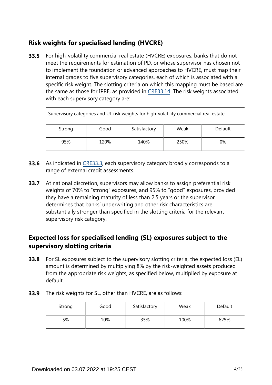### **Risk weights for specialised lending (HVCRE)**

**33.5** For high-volatility commercial real estate (HVCRE) exposures, banks that do not meet the requirements for estimation of PD, or whose supervisor has chosen not to implement the foundation or advanced approaches to HVCRE, must map their internal grades to five supervisory categories, each of which is associated with a specific risk weight. The slotting criteria on which this mapping must be based are the same as those for IPRE, as provided in [CRE33.14.](https://www.bis.org/basel_framework/chapter/CRE/33.htm?tldate=20220114&inforce=20191215&published=20191215#paragraph_CRE_33_20191215_33_14) The risk weights associated with each supervisory category are:

| Strong | Good | Satisfactory | Weak | Default |
|--------|------|--------------|------|---------|
| 95%    | 120% | 140%         | 250% | 0%      |

Supervisory categories and UL risk weights for high-volatility commercial real estate

- **33.6** As indicated in [CRE33.3,](https://www.bis.org/basel_framework/chapter/CRE/33.htm?tldate=20220114&inforce=20191215&published=20191215#paragraph_CRE_33_20191215_33_3) each supervisory category broadly corresponds to a range of external credit assessments.
- At national discretion, supervisors may allow banks to assign preferential risk weights of 70% to "strong" exposures, and 95% to "good" exposures, provided they have a remaining maturity of less than 2.5 years or the supervisor determines that banks' underwriting and other risk characteristics are substantially stronger than specified in the slotting criteria for the relevant supervisory risk category. **33.7**

### **Expected loss for specialised lending (SL) exposures subject to the supervisory slotting criteria**

For SL exposures subject to the supervisory slotting criteria, the expected loss (EL) amount is determined by multiplying 8% by the risk-weighted assets produced from the appropriate risk weights, as specified below, multiplied by exposure at default. **33.8**

|  | <b>33.9</b> The risk weights for SL, other than HVCRE, are as follows: |  |  |  |
|--|------------------------------------------------------------------------|--|--|--|
|--|------------------------------------------------------------------------|--|--|--|

| Strong | Good | Satisfactory | Weak | Default |
|--------|------|--------------|------|---------|
| 5%     | 10%  | 35%          | 100% | 625%    |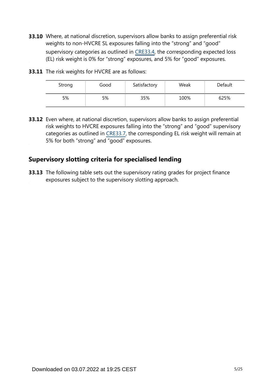**33.10** Where, at national discretion, supervisors allow banks to assign preferential risk weights to non-HVCRE SL exposures falling into the "strong" and "good" supervisory categories as outlined in [CRE33.4](https://www.bis.org/basel_framework/chapter/CRE/33.htm?tldate=20220114&inforce=20191215&published=20191215#paragraph_CRE_33_20191215_33_4), the corresponding expected loss (EL) risk weight is 0% for "strong" exposures, and 5% for "good" exposures.

| <b>33.11</b> The risk weights for HVCRE are as follows: |
|---------------------------------------------------------|
|                                                         |
|                                                         |

| Strong | Good | Satisfactory | Weak | Default |
|--------|------|--------------|------|---------|
| 5%     | 5%   | 35%          | 100% | 625%    |

**33.12** Even where, at national discretion, supervisors allow banks to assign preferential risk weights to HVCRE exposures falling into the "strong" and "good" supervisory categories as outlined in [CRE33.7](https://www.bis.org/basel_framework/chapter/CRE/33.htm?tldate=20220114&inforce=20191215&published=20191215#paragraph_CRE_33_20191215_33_7), the corresponding EL risk weight will remain at 5% for both "strong" and "good" exposures.

#### **Supervisory slotting criteria for specialised lending**

**33.13** The following table sets out the supervisory rating grades for project finance exposures subject to the supervisory slotting approach.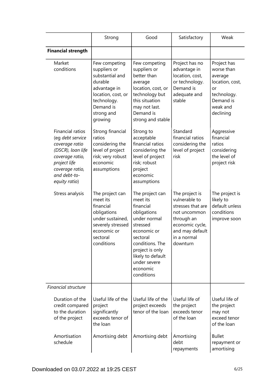|                                                                                                                                                                    | Strong                                                                                                                                                 | Good                                                                                                                                                                                                                | Satisfactory                                                                                                                                        | Weak                                                                                                               |
|--------------------------------------------------------------------------------------------------------------------------------------------------------------------|--------------------------------------------------------------------------------------------------------------------------------------------------------|---------------------------------------------------------------------------------------------------------------------------------------------------------------------------------------------------------------------|-----------------------------------------------------------------------------------------------------------------------------------------------------|--------------------------------------------------------------------------------------------------------------------|
| <b>Financial strength</b>                                                                                                                                          |                                                                                                                                                        |                                                                                                                                                                                                                     |                                                                                                                                                     |                                                                                                                    |
| Market<br>conditions                                                                                                                                               | Few competing<br>suppliers or<br>substantial and<br>durable<br>advantage in<br>location, cost, or<br>technology.<br>Demand is<br>strong and<br>growing | Few competing<br>suppliers or<br>better than<br>average<br>location, cost, or<br>technology but<br>this situation<br>may not last.<br>Demand is<br>strong and stable                                                | Project has no<br>advantage in<br>location, cost,<br>or technology.<br>Demand is<br>adequate and<br>stable                                          | Project has<br>worse than<br>average<br>location, cost,<br>or<br>technology.<br>Demand is<br>weak and<br>declining |
| Financial ratios<br>(eg debt service<br>coverage ratio<br>(DSCR), loan life<br>coverage ratio,<br>project life<br>coverage ratio,<br>and debt-to-<br>equity ratio) | Strong financial<br>ratios<br>considering the<br>level of project<br>risk; very robust<br>economic<br>assumptions                                      | Strong to<br>acceptable<br>financial ratios<br>considering the<br>level of project<br>risk; robust<br>project<br>economic<br>assumptions                                                                            | Standard<br>financial ratios<br>considering the<br>level of project<br>risk                                                                         | Aggressive<br>financial<br>ratios<br>considering<br>the level of<br>project risk                                   |
| Stress analysis                                                                                                                                                    | The project can<br>meet its<br>financial<br>obligations<br>under sustained,<br>severely stressed<br>economic or<br>sectoral<br>conditions              | The project can<br>meet its<br>financial<br>obligations<br>under normal<br>stressed<br>economic or<br>sectoral<br>conditions. The<br>project is only<br>likely to default<br>under severe<br>economic<br>conditions | The project is<br>vulnerable to<br>stresses that are<br>not uncommon<br>through an<br>economic cycle,<br>and may default<br>in a normal<br>downturn | The project is<br>likely to<br>default unless<br>conditions<br>improve soon                                        |
| Financial structure                                                                                                                                                |                                                                                                                                                        |                                                                                                                                                                                                                     |                                                                                                                                                     |                                                                                                                    |
| Duration of the<br>credit compared<br>to the duration<br>of the project                                                                                            | Useful life of the<br>project<br>significantly<br>exceeds tenor of<br>the loan                                                                         | Useful life of the<br>project exceeds<br>tenor of the loan                                                                                                                                                          | Useful life of<br>the project<br>exceeds tenor<br>of the loan                                                                                       | Useful life of<br>the project<br>may not<br>exceed tenor<br>of the loan                                            |
| Amortisation<br>schedule                                                                                                                                           | Amortising debt                                                                                                                                        | Amortising debt                                                                                                                                                                                                     | Amortising<br>debt<br>repayments                                                                                                                    | <b>Bullet</b><br>repayment or<br>amortising                                                                        |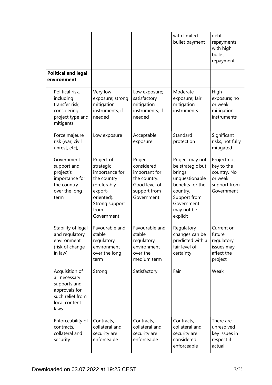|                                                                                                               |                                                                                                                                          |                                                                                                       | with limited<br>bullet payment                                                                                                                          | debt<br>repayments<br>with high<br>bullet<br>repayment                            |
|---------------------------------------------------------------------------------------------------------------|------------------------------------------------------------------------------------------------------------------------------------------|-------------------------------------------------------------------------------------------------------|---------------------------------------------------------------------------------------------------------------------------------------------------------|-----------------------------------------------------------------------------------|
| <b>Political and legal</b><br>environment                                                                     |                                                                                                                                          |                                                                                                       |                                                                                                                                                         |                                                                                   |
| Political risk,<br>including<br>transfer risk,<br>considering<br>project type and<br>mitigants                | Very low<br>exposure; strong<br>mitigation<br>instruments, if<br>needed                                                                  | Low exposure;<br>satisfactory<br>mitigation<br>instruments, if<br>needed                              | Moderate<br>exposure; fair<br>mitigation<br>instruments                                                                                                 | High<br>exposure; no<br>or weak<br>mitigation<br>instruments                      |
| Force majeure<br>risk (war, civil<br>unrest, etc),                                                            | Low exposure                                                                                                                             | Acceptable<br>exposure                                                                                | Standard<br>protection                                                                                                                                  | Significant<br>risks, not fully<br>mitigated                                      |
| Government<br>support and<br>project's<br>importance for<br>the country<br>over the long<br>term              | Project of<br>strategic<br>importance for<br>the country<br>(preferably<br>export-<br>oriented).<br>Strong support<br>from<br>Government | Project<br>considered<br>important for<br>the country.<br>Good level of<br>support from<br>Government | Project may not<br>be strategic but<br>brings<br>unquestionable<br>benefits for the<br>country.<br>Support from<br>Government<br>may not be<br>explicit | Project not<br>key to the<br>country. No<br>or weak<br>support from<br>Government |
| Stability of legal<br>and regulatory<br>environment<br>(risk of change<br>in law)                             | Favourable and<br>stable<br>regulatory<br>environment<br>over the long<br>term                                                           | Favourable and<br>stable<br>regulatory<br>environment<br>over the<br>medium term                      | Regulatory<br>changes can be<br>predicted with a<br>fair level of<br>certainty                                                                          | Current or<br>future<br>regulatory<br>issues may<br>affect the<br>project         |
| Acquisition of<br>all necessary<br>supports and<br>approvals for<br>such relief from<br>local content<br>laws | Strong                                                                                                                                   | Satisfactory                                                                                          | Fair                                                                                                                                                    | Weak                                                                              |
| Enforceability of<br>contracts,<br>collateral and<br>security                                                 | Contracts,<br>collateral and<br>security are<br>enforceable                                                                              | Contracts,<br>collateral and<br>security are<br>enforceable                                           | Contracts,<br>collateral and<br>security are<br>considered<br>enforceable                                                                               | There are<br>unresolved<br>key issues in<br>respect if<br>actual                  |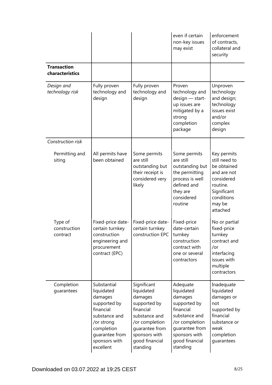|                                       |                                                                                                                                                                |                                                                                                                                                                       | even if certain<br>non-key issues<br>may exist                                                                                                                     | enforcement<br>of contracts,<br>collateral and<br>security                                                                              |
|---------------------------------------|----------------------------------------------------------------------------------------------------------------------------------------------------------------|-----------------------------------------------------------------------------------------------------------------------------------------------------------------------|--------------------------------------------------------------------------------------------------------------------------------------------------------------------|-----------------------------------------------------------------------------------------------------------------------------------------|
| <b>Transaction</b><br>characteristics |                                                                                                                                                                |                                                                                                                                                                       |                                                                                                                                                                    |                                                                                                                                         |
| Design and<br>technology risk         | Fully proven<br>technology and<br>design                                                                                                                       | Fully proven<br>technology and<br>design                                                                                                                              | Proven<br>technology and<br>design - start-<br>up issues are<br>mitigated by a<br>strong<br>completion<br>package                                                  | Unproven<br>technology<br>and design;<br>technology<br>issues exist<br>and/or<br>complex<br>design                                      |
| Construction risk                     |                                                                                                                                                                |                                                                                                                                                                       |                                                                                                                                                                    |                                                                                                                                         |
| Permitting and<br>siting              | All permits have<br>been obtained                                                                                                                              | Some permits<br>are still<br>outstanding but<br>their receipt is<br>considered very<br>likely                                                                         | Some permits<br>are still<br>outstanding but<br>the permitting<br>process is well<br>defined and<br>they are<br>considered<br>routine                              | Key permits<br>still need to<br>be obtained<br>and are not<br>considered<br>routine.<br>Significant<br>conditions<br>may be<br>attached |
| Type of<br>construction<br>contract   | Fixed-price date-<br>certain turnkey<br>construction<br>engineering and<br>procurement<br>contract (EPC)                                                       | Fixed-price date-<br>certain turnkey<br>construction EPC                                                                                                              | Fixed-price<br>date-certain<br>turnkey<br>construction<br>contract with<br>one or several<br>contractors                                                           | No or partial<br>fixed-price<br>turnkey<br>contract and<br>/or<br>interfacing<br>issues with<br>multiple<br>contractors                 |
| Completion<br>guarantees              | Substantial<br>liquidated<br>damages<br>supported by<br>financial<br>substance and<br>/or strong<br>completion<br>guarantee from<br>sponsors with<br>excellent | Significant<br>liquidated<br>damages<br>supported by<br>financial<br>substance and<br>/or completion<br>quarantee from<br>sponsors with<br>good financial<br>standing | Adequate<br>liquidated<br>damages<br>supported by<br>financial<br>substance and<br>/or completion<br>guarantee from<br>sponsors with<br>good financial<br>standing | Inadequate<br>liquidated<br>damages or<br>not<br>supported by<br>financial<br>substance or<br>weak<br>completion<br>guarantees          |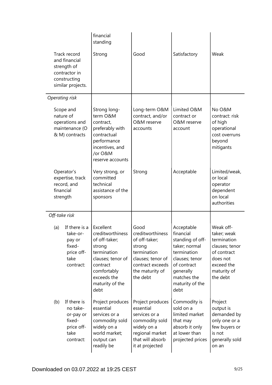| Track record<br>and financial<br>strength of<br>contractor in<br>constructing<br>similar projects. | financial<br>standing<br>Strong                                                                                                                                   | Good                                                                                                                                       | Satisfactory                                                                                                                                                        | Weak                                                                                                                          |
|----------------------------------------------------------------------------------------------------|-------------------------------------------------------------------------------------------------------------------------------------------------------------------|--------------------------------------------------------------------------------------------------------------------------------------------|---------------------------------------------------------------------------------------------------------------------------------------------------------------------|-------------------------------------------------------------------------------------------------------------------------------|
| Operating risk                                                                                     |                                                                                                                                                                   |                                                                                                                                            |                                                                                                                                                                     |                                                                                                                               |
| Scope and<br>nature of<br>operations and<br>maintenance (O<br>& M) contracts                       | Strong long-<br>term O&M<br>contract,<br>preferably with<br>contractual<br>performance<br>incentives, and<br>/or O&M<br>reserve accounts                          | Long-term O&M<br>contract, and/or<br>O&M reserve<br>accounts                                                                               | Limited O&M<br>contract or<br>O&M reserve<br>account                                                                                                                | No O&M<br>contract: risk<br>of high<br>operational<br>cost overruns<br>beyond<br>mitigants                                    |
| Operator's<br>expertise, track<br>record, and<br>financial<br>strength                             | Very strong, or<br>committed<br>technical<br>assistance of the<br>sponsors                                                                                        | Strong                                                                                                                                     | Acceptable                                                                                                                                                          | Limited/weak,<br>or local<br>operator<br>dependent<br>on local<br>authorities                                                 |
| Off-take risk                                                                                      |                                                                                                                                                                   |                                                                                                                                            |                                                                                                                                                                     |                                                                                                                               |
| If there is a<br>(a)<br>take-or-<br>pay or<br>fixed-<br>price off-<br>take<br>contract:            | Excellent<br>creditworthiness<br>of off-taker;<br>strong<br>termination<br>clauses; tenor of<br>contract<br>comfortably<br>exceeds the<br>maturity of the<br>debt | Good<br>creditworthiness<br>of off-taker;<br>strong<br>termination<br>clauses; tenor of<br>contract exceeds<br>the maturity of<br>the debt | Acceptable<br>financial<br>standing of off-<br>taker; normal<br>termination<br>clauses; tenor<br>of contract<br>generally<br>matches the<br>maturity of the<br>debt | Weak off-<br>taker; weak<br>termination<br>clauses; tenor<br>of contract<br>does not<br>exceed the<br>maturity of<br>the debt |
| If there is<br>(b)<br>no take-<br>or-pay or<br>fixed-<br>price off-<br>take<br>contract:           | Project produces<br>essential<br>services or a<br>commodity sold<br>widely on a<br>world market;<br>output can<br>readily be                                      | Project produces<br>essential<br>services or a<br>commodity sold<br>widely on a<br>regional market<br>that will absorb<br>it at projected  | Commodity is<br>sold on a<br>limited market<br>that may<br>absorb it only<br>at lower than<br>projected prices                                                      | Project<br>output is<br>demanded by<br>only one or a<br>few buyers or<br>is not<br>generally sold<br>on an                    |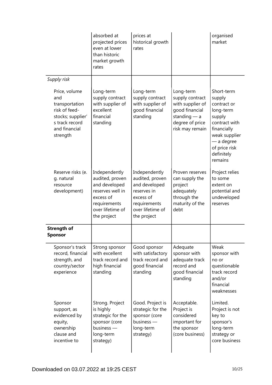|                                                                                                                             | absorbed at<br>projected prices<br>even at lower<br>than historic<br>market growth<br>rates                                           | prices at<br>historical growth<br>rates                                                                                          |                                                                                                                            | organised<br>market                                                                                                                                               |
|-----------------------------------------------------------------------------------------------------------------------------|---------------------------------------------------------------------------------------------------------------------------------------|----------------------------------------------------------------------------------------------------------------------------------|----------------------------------------------------------------------------------------------------------------------------|-------------------------------------------------------------------------------------------------------------------------------------------------------------------|
| Supply risk                                                                                                                 |                                                                                                                                       |                                                                                                                                  |                                                                                                                            |                                                                                                                                                                   |
| Price, volume<br>and<br>transportation<br>risk of feed-<br>stocks; supplier'<br>s track record<br>and financial<br>strength | Long-term<br>supply contract<br>with supplier of<br>excellent<br>financial<br>standing                                                | Long-term<br>supply contract<br>with supplier of<br>good financial<br>standing                                                   | Long-term<br>supply contract<br>with supplier of<br>good financial<br>standing $-$ a<br>degree of price<br>risk may remain | Short-term<br>supply<br>contract or<br>long-term<br>supply<br>contract with<br>financially<br>weak supplier<br>a degree<br>of price risk<br>definitely<br>remains |
| Reserve risks (e.<br>g. natural<br>resource<br>development)                                                                 | Independently<br>audited, proven<br>and developed<br>reserves well in<br>excess of<br>requirements<br>over lifetime of<br>the project | Independently<br>audited, proven<br>and developed<br>reserves in<br>excess of<br>requirements<br>over lifetime of<br>the project | Proven reserves<br>can supply the<br>project<br>adequately<br>through the<br>maturity of the<br>debt                       | Project relies<br>to some<br>extent on<br>potential and<br>undeveloped<br>reserves                                                                                |
| <b>Strength of</b><br><b>Sponsor</b>                                                                                        |                                                                                                                                       |                                                                                                                                  |                                                                                                                            |                                                                                                                                                                   |
| Sponsor's track<br>record, financial<br>strength, and<br>country/sector<br>experience                                       | Strong sponsor<br>with excellent<br>track record and<br>high financial<br>standing                                                    | Good sponsor<br>with satisfactory<br>track record and<br>good financial<br>standing                                              | Adequate<br>sponsor with<br>adequate track<br>record and<br>good financial<br>standing                                     | Weak<br>sponsor with<br>no or<br>questionable<br>track record<br>and/or<br>financial<br>weaknesses                                                                |
| Sponsor<br>support, as<br>evidenced by<br>equity,<br>ownership<br>clause and<br>incentive to                                | Strong. Project<br>is highly<br>strategic for the<br>sponsor (core<br>business -<br>long-term<br>strategy)                            | Good. Project is<br>strategic for the<br>sponsor (core<br>business -<br>long-term<br>strategy)                                   | Acceptable.<br>Project is<br>considered<br>important for<br>the sponsor<br>(core business)                                 | Limited.<br>Project is not<br>key to<br>sponsor's<br>long-term<br>strategy or<br>core business                                                                    |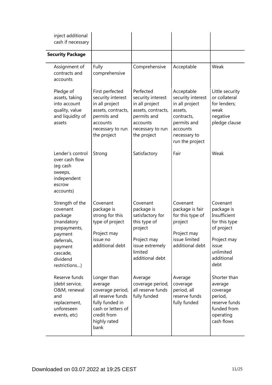| inject additional<br>cash if necessary                                                                                                            |                                                                                                                                                 |                                                                                                                                       |                                                                                                                                          |                                                                                                                                  |
|---------------------------------------------------------------------------------------------------------------------------------------------------|-------------------------------------------------------------------------------------------------------------------------------------------------|---------------------------------------------------------------------------------------------------------------------------------------|------------------------------------------------------------------------------------------------------------------------------------------|----------------------------------------------------------------------------------------------------------------------------------|
| <b>Security Package</b>                                                                                                                           |                                                                                                                                                 |                                                                                                                                       |                                                                                                                                          |                                                                                                                                  |
| Assignment of<br>contracts and<br>accounts                                                                                                        | Fully<br>comprehensive                                                                                                                          | Comprehensive                                                                                                                         | Acceptable                                                                                                                               | Weak                                                                                                                             |
| Pledge of<br>assets, taking<br>into account<br>quality, value<br>and liquidity of<br>assets                                                       | First perfected<br>security interest<br>in all project<br>assets, contracts,<br>permits and<br>accounts<br>necessary to run<br>the project      | Perfected<br>security interest<br>in all project<br>assets, contracts,<br>permits and<br>accounts<br>necessary to run<br>the project  | Acceptable<br>security interest<br>in all project<br>assets,<br>contracts,<br>permits and<br>accounts<br>necessary to<br>run the project | Little security<br>or collateral<br>for lenders;<br>weak<br>negative<br>pledge clause                                            |
| Lender's control<br>over cash flow<br>(eg cash<br>sweeps,<br>independent<br>escrow<br>accounts)                                                   | Strong                                                                                                                                          | Satisfactory                                                                                                                          | Fair                                                                                                                                     | Weak                                                                                                                             |
| Strength of the<br>covenant<br>package<br>(mandatory<br>prepayments,<br>payment<br>deferrals,<br>payment<br>cascade,<br>dividend<br>restrictions) | Covenant<br>package is<br>strong for this<br>type of project<br>Project may<br>issue no<br>additional debt                                      | Covenant<br>package is<br>satisfactory for<br>this type of<br>project<br>Project may<br>issue extremely<br>limited<br>additional debt | Covenant<br>package is fair<br>for this type of<br>project<br>Project may<br>issue limited<br>additional debt                            | Covenant<br>package is<br>Insufficient<br>for this type<br>of project<br>Project may<br>issue<br>unlimited<br>additional<br>debt |
| Reserve funds<br>(debt service,<br>O&M, renewal<br>and<br>replacement,<br>unforeseen<br>events, etc)                                              | Longer than<br>average<br>coverage period,<br>all reserve funds<br>fully funded in<br>cash or letters of<br>credit from<br>highly rated<br>bank | Average<br>coverage period,<br>all reserve funds<br>fully funded                                                                      | Average<br>coverage<br>period, all<br>reserve funds<br>fully funded                                                                      | Shorter than<br>average<br>coverage<br>period,<br>reserve funds<br>funded from<br>operating<br>cash flows                        |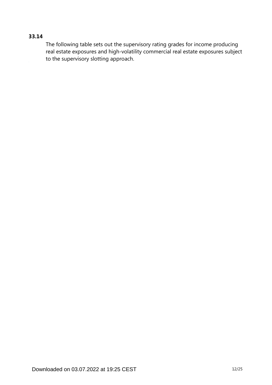#### **33.14**

The following table sets out the supervisory rating grades for income producing real estate exposures and high-volatility commercial real estate exposures subject to the supervisory slotting approach.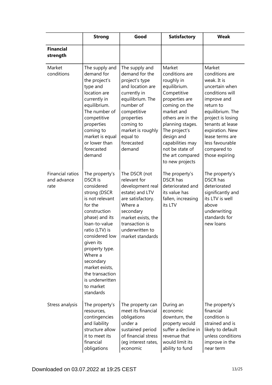|                                                | <b>Strong</b>                                                                                                                                                                                                                                                                                                                 | Good                                                                                                                                                                                                                       | <b>Satisfactory</b>                                                                                                                                                                                                                                                          | <b>Weak</b>                                                                                                                                                                                                                                                     |
|------------------------------------------------|-------------------------------------------------------------------------------------------------------------------------------------------------------------------------------------------------------------------------------------------------------------------------------------------------------------------------------|----------------------------------------------------------------------------------------------------------------------------------------------------------------------------------------------------------------------------|------------------------------------------------------------------------------------------------------------------------------------------------------------------------------------------------------------------------------------------------------------------------------|-----------------------------------------------------------------------------------------------------------------------------------------------------------------------------------------------------------------------------------------------------------------|
| <b>Financial</b><br>strength                   |                                                                                                                                                                                                                                                                                                                               |                                                                                                                                                                                                                            |                                                                                                                                                                                                                                                                              |                                                                                                                                                                                                                                                                 |
| Market<br>conditions                           | The supply and<br>demand for<br>the project's<br>type and<br>location are<br>currently in<br>equilibrium.<br>The number of<br>competitive<br>properties<br>coming to<br>market is equal<br>or lower than<br>forecasted<br>demand                                                                                              | The supply and<br>demand for the<br>project's type<br>and location are<br>currently in<br>equilibrium. The<br>number of<br>competitive<br>properties<br>coming to<br>market is roughly<br>equal to<br>forecasted<br>demand | Market<br>conditions are<br>roughly in<br>equilibrium.<br>Competitive<br>properties are<br>coming on the<br>market and<br>others are in the<br>planning stages.<br>The project's<br>design and<br>capabilities may<br>not be state of<br>the art compared<br>to new projects | Market<br>conditions are<br>weak. It is<br>uncertain when<br>conditions will<br>improve and<br>return to<br>equilibrium. The<br>project is losing<br>tenants at lease<br>expiration. New<br>lease terms are<br>less favourable<br>compared to<br>those expiring |
| <b>Financial ratios</b><br>and advance<br>rate | The property's<br><b>DSCR</b> is<br>considered<br>strong (DSCR<br>is not relevant<br>for the<br>construction<br>phase) and its<br>loan-to-value<br>ratio (LTV) is<br>considered low-<br>given its<br>property type.<br>Where a<br>secondary<br>market exists,<br>the transaction<br>is underwritten<br>to market<br>standards | The DSCR (not<br>relevant for<br>development real<br>estate) and LTV<br>are satisfactory.<br>Where a<br>secondary<br>market exists, the<br>transaction is<br>underwritten to<br>market standards.                          | The property's<br><b>DSCR has</b><br>deteriorated and<br>its value has<br>fallen, increasing<br>its LTV                                                                                                                                                                      | The property's<br><b>DSCR</b> has<br>deteriorated<br>significantly and<br>its LTV is well<br>above<br>underwriting<br>standards for<br>new loans                                                                                                                |
| Stress analysis                                | The property's<br>resources,<br>contingencies<br>and liability<br>structure allow<br>it to meet its<br>financial<br>obligations                                                                                                                                                                                               | The property can<br>meet its financial<br>obligations<br>under a<br>sustained period<br>of financial stress<br>(eg interest rates,<br>economic                                                                             | During an<br>economic<br>downturn, the<br>property would<br>suffer a decline in<br>revenue that<br>would limit its<br>ability to fund                                                                                                                                        | The property's<br>financial<br>condition is<br>strained and is<br>likely to default<br>unless conditions<br>improve in the<br>near term                                                                                                                         |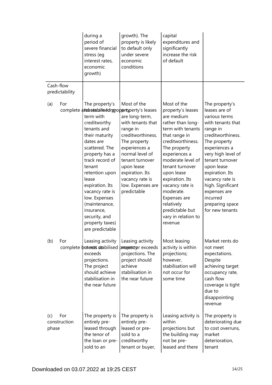|                                     | during a<br>period of<br>severe financial<br>stress (eg<br>interest rates,<br>economic<br>growth)                                                                                                                                                                                                                                  | growth). The<br>property is likely<br>to default only<br>under severe<br>economic<br>conditions                                                                                                                                                                                                    | capital<br>expenditures and<br>significantly<br>increase the risk<br>of default                                                                                                                                                                                                                                                                             |                                                                                                                                                                                                                                                                                                                             |
|-------------------------------------|------------------------------------------------------------------------------------------------------------------------------------------------------------------------------------------------------------------------------------------------------------------------------------------------------------------------------------|----------------------------------------------------------------------------------------------------------------------------------------------------------------------------------------------------------------------------------------------------------------------------------------------------|-------------------------------------------------------------------------------------------------------------------------------------------------------------------------------------------------------------------------------------------------------------------------------------------------------------------------------------------------------------|-----------------------------------------------------------------------------------------------------------------------------------------------------------------------------------------------------------------------------------------------------------------------------------------------------------------------------|
| Cash-flow<br>predictability         |                                                                                                                                                                                                                                                                                                                                    |                                                                                                                                                                                                                                                                                                    |                                                                                                                                                                                                                                                                                                                                                             |                                                                                                                                                                                                                                                                                                                             |
| For<br>(a)                          | The property's<br>term with<br>creditworthy<br>tenants and<br>their maturity<br>dates are<br>scattered. The<br>property has a<br>track record of<br>tenant<br>retention upon<br>lease<br>expiration. Its<br>vacancy rate is<br>low. Expenses<br>(maintenance,<br>insurance,<br>security, and<br>property taxes)<br>are predictable | Most of the<br>complete alreases balanced property s leases<br>are long-term,<br>with tenants that<br>range in<br>creditworthiness.<br>The property<br>experiences a<br>normal level of<br>tenant turnover<br>upon lease<br>expiration. Its<br>vacancy rate is<br>low. Expenses are<br>predictable | Most of the<br>property's leases<br>are medium<br>rather than long-<br>term with tenants<br>that range in<br>creditworthiness.<br>The property<br>experiences a<br>moderate level of<br>tenant turnover<br>upon lease<br>expiration. Its<br>vacancy rate is<br>moderate.<br>Expenses are<br>relatively<br>predictable but<br>vary in relation to<br>revenue | The property's<br>leases are of<br>various terms<br>with tenants that<br>range in<br>creditworthiness.<br>The property<br>experiences a<br>very high level of<br>tenant turnover<br>upon lease<br>expiration. Its<br>vacancy rate is<br>high. Significant<br>expenses are<br>incurred<br>preparing space<br>for new tenants |
| (b)<br>For                          | Leasing activity<br>complete buteros stabilised<br>exceeds<br>projections.<br>The project<br>should achieve<br>stabilisation in<br>the near future                                                                                                                                                                                 | Leasing activity<br>orrougnetstyprexceeds<br>projections. The<br>project should<br>achieve<br>stabilisation in<br>the near future                                                                                                                                                                  | Most leasing<br>activity is within<br>projections;<br>however,<br>stabilisation will<br>not occur for<br>some time                                                                                                                                                                                                                                          | Market rents do<br>not meet<br>expectations.<br>Despite<br>achieving target<br>occupancy rate,<br>cash flow<br>coverage is tight<br>due to<br>disappointing<br>revenue                                                                                                                                                      |
| For<br>(c)<br>construction<br>phase | The property is<br>entirely pre-<br>leased through<br>the tenor of<br>the loan or pre-<br>sold to an                                                                                                                                                                                                                               | The property is<br>entirely pre-<br>leased or pre-<br>sold to a<br>creditworthy<br>tenant or buyer,                                                                                                                                                                                                | Leasing activity is<br>within<br>projections but<br>the building may<br>not be pre-<br>leased and there                                                                                                                                                                                                                                                     | The property is<br>deteriorating due<br>to cost overruns,<br>market<br>deterioration,<br>tenant                                                                                                                                                                                                                             |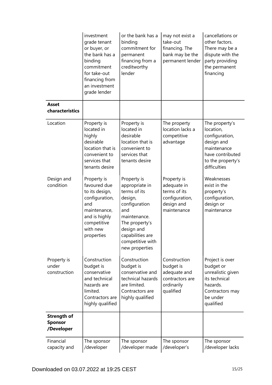|                                                    | investment<br>grade tenant<br>or buyer, or<br>the bank has a<br>binding<br>commitment<br>for take-out<br>financing from<br>an investment<br>grade lender | or the bank has a<br>binding<br>commitment for<br>permanent<br>financing from a<br>creditworthy<br>lender                                                                                  | may not exist a<br>take-out<br>financing. The<br>bank may be the<br>permanent lender      | cancellations or<br>other factors.<br>There may be a<br>dispute with the<br>party providing<br>the permanent<br>financing           |
|----------------------------------------------------|----------------------------------------------------------------------------------------------------------------------------------------------------------|--------------------------------------------------------------------------------------------------------------------------------------------------------------------------------------------|-------------------------------------------------------------------------------------------|-------------------------------------------------------------------------------------------------------------------------------------|
| <b>Asset</b><br>characteristics                    |                                                                                                                                                          |                                                                                                                                                                                            |                                                                                           |                                                                                                                                     |
| Location                                           | Property is<br>located in<br>highly<br>desirable<br>location that is<br>convenient to<br>services that<br>tenants desire                                 | Property is<br>located in<br>desirable<br>location that is<br>convenient to<br>services that<br>tenants desire                                                                             | The property<br>location lacks a<br>competitive<br>advantage                              | The property's<br>location,<br>configuration,<br>design and<br>maintenance<br>have contributed<br>to the property's<br>difficulties |
| Design and<br>condition                            | Property is<br>favoured due<br>to its design,<br>configuration,<br>and<br>maintenance,<br>and is highly<br>competitive<br>with new<br>properties         | Property is<br>appropriate in<br>terms of its<br>design,<br>configuration<br>and<br>maintenance.<br>The property's<br>design and<br>capabilities are<br>competitive with<br>new properties | Property is<br>adequate in<br>terms of its<br>configuration,<br>design and<br>maintenance | Weaknesses<br>exist in the<br>property's<br>configuration,<br>design or<br>maintenance                                              |
| Property is<br>under<br>construction               | Construction<br>budget is<br>conservative<br>and technical<br>hazards are<br>limited.<br>Contractors are<br>highly qualified                             | Construction<br>budget is<br>conservative and<br>technical hazards<br>are limited.<br>Contractors are<br>highly qualified                                                                  | Construction<br>budget is<br>adequate and<br>contractors are<br>ordinarily<br>qualified   | Project is over<br>budget or<br>unrealistic given<br>its technical<br>hazards.<br>Contractors may<br>be under<br>qualified          |
| <b>Strength of</b><br><b>Sponsor</b><br>/Developer |                                                                                                                                                          |                                                                                                                                                                                            |                                                                                           |                                                                                                                                     |
| Financial<br>capacity and                          | The sponsor<br>/developer                                                                                                                                | The sponsor<br>/developer made                                                                                                                                                             | The sponsor<br>/developer's                                                               | The sponsor<br>/developer lacks                                                                                                     |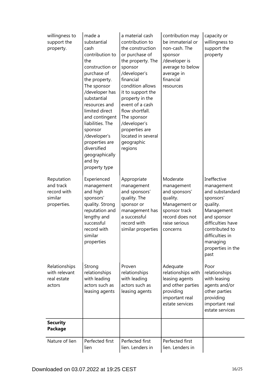| willingness to<br>support the<br>property.                       | made a<br>substantial<br>cash<br>contribution to<br>the<br>construction or<br>purchase of<br>the property.<br>The sponsor<br>/developer has<br>substantial<br>resources and<br>limited direct<br>and contingent<br>liabilities. The<br>sponsor<br>/developer's<br>properties are<br>diversified<br>geographically<br>and by<br>property type | a material cash<br>contribution to<br>the construction<br>or purchase of<br>the property. The<br>sponsor<br>/developer's<br>financial<br>condition allows<br>it to support the<br>property in the<br>event of a cash<br>flow shortfall.<br>The sponsor<br>/developer's<br>properties are<br>located in several<br>geographic<br>regions | contribution may<br>be immaterial or<br>non-cash. The<br>sponsor<br>/developer is<br>average to below<br>average in<br>financial<br>resources | capacity or<br>willingness to<br>support the<br>property                                                                                                                                              |
|------------------------------------------------------------------|----------------------------------------------------------------------------------------------------------------------------------------------------------------------------------------------------------------------------------------------------------------------------------------------------------------------------------------------|-----------------------------------------------------------------------------------------------------------------------------------------------------------------------------------------------------------------------------------------------------------------------------------------------------------------------------------------|-----------------------------------------------------------------------------------------------------------------------------------------------|-------------------------------------------------------------------------------------------------------------------------------------------------------------------------------------------------------|
| Reputation<br>and track<br>record with<br>similar<br>properties. | Experienced<br>management<br>and high<br>sponsors'<br>quality. Strong<br>reputation and<br>lengthy and<br>successful<br>record with<br>similar<br>properties                                                                                                                                                                                 | Appropriate<br>management<br>and sponsors'<br>quality. The<br>sponsor or<br>management has<br>a successful<br>record with<br>similar properties                                                                                                                                                                                         | Moderate<br>management<br>and sponsors'<br>quality.<br>Management or<br>sponsor track<br>record does not<br>raise serious<br>concerns         | Ineffective<br>management<br>and substandard<br>sponsors'<br>quality.<br>Management<br>and sponsor<br>difficulties have<br>contributed to<br>difficulties in<br>managing<br>properties in the<br>past |
| Relationships<br>with relevant<br>real estate<br>actors          | Strong<br>relationships<br>with leading<br>actors such as<br>leasing agents                                                                                                                                                                                                                                                                  | Proven<br>relationships<br>with leading<br>actors such as<br>leasing agents                                                                                                                                                                                                                                                             | Adequate<br>relationships with<br>leasing agents<br>and other parties<br>providing<br>important real<br>estate services                       | Poor<br>relationships<br>with leasing<br>agents and/or<br>other parties<br>providing<br>important real<br>estate services                                                                             |
| <b>Security</b><br><b>Package</b>                                |                                                                                                                                                                                                                                                                                                                                              |                                                                                                                                                                                                                                                                                                                                         |                                                                                                                                               |                                                                                                                                                                                                       |
| Nature of lien                                                   | Perfected first<br>lien                                                                                                                                                                                                                                                                                                                      | Perfected first<br>lien. Lenders in                                                                                                                                                                                                                                                                                                     | Perfected first<br>lien. Lenders in                                                                                                           |                                                                                                                                                                                                       |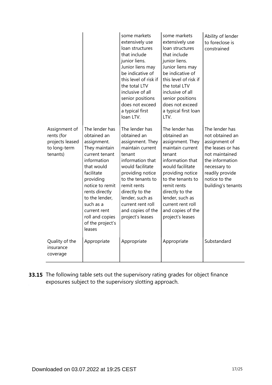|                                                                            |                                                                                                                                                                                                                                                                              | some markets<br>extensively use<br>loan structures<br>that include<br>junior liens.<br>Junior liens may<br>be indicative of<br>this level of risk if<br>the total LTV<br>inclusive of all<br>senior positions<br>does not exceed<br>a typical first<br>loan LTV.                    | some markets<br>extensively use<br>loan structures<br>that include<br>junior liens.<br>Junior liens may<br>be indicative of<br>this level of risk if<br>the total LTV<br>inclusive of all<br>senior positions<br>does not exceed<br>a typical first loan<br>LTV.                    | Ability of lender<br>to foreclose is<br>constrained                                                                                                                                    |
|----------------------------------------------------------------------------|------------------------------------------------------------------------------------------------------------------------------------------------------------------------------------------------------------------------------------------------------------------------------|-------------------------------------------------------------------------------------------------------------------------------------------------------------------------------------------------------------------------------------------------------------------------------------|-------------------------------------------------------------------------------------------------------------------------------------------------------------------------------------------------------------------------------------------------------------------------------------|----------------------------------------------------------------------------------------------------------------------------------------------------------------------------------------|
| Assignment of<br>rents (for<br>projects leased<br>to long-term<br>tenants) | The lender has<br>obtained an<br>assignment.<br>They maintain<br>current tenant<br>information<br>that would<br>facilitate<br>providing<br>notice to remit<br>rents directly<br>to the lender,<br>such as a<br>current rent<br>roll and copies<br>of the project's<br>leases | The lender has<br>obtained an<br>assignment. They<br>maintain current<br>tenant<br>information that<br>would facilitate<br>providing notice<br>to the tenants to<br>remit rents<br>directly to the<br>lender, such as<br>current rent roll<br>and copies of the<br>project's leases | The lender has<br>obtained an<br>assignment. They<br>maintain current<br>tenant<br>information that<br>would facilitate<br>providing notice<br>to the tenants to<br>remit rents<br>directly to the<br>lender, such as<br>current rent roll<br>and copies of the<br>project's leases | The lender has<br>not obtained an<br>assignment of<br>the leases or has<br>not maintained<br>the information<br>necessary to<br>readily provide<br>notice to the<br>building's tenants |
| Quality of the<br>insurance<br>coverage                                    | Appropriate                                                                                                                                                                                                                                                                  | Appropriate                                                                                                                                                                                                                                                                         | Appropriate                                                                                                                                                                                                                                                                         | Substandard                                                                                                                                                                            |

**33.15** The following table sets out the supervisory rating grades for object finance exposures subject to the supervisory slotting approach.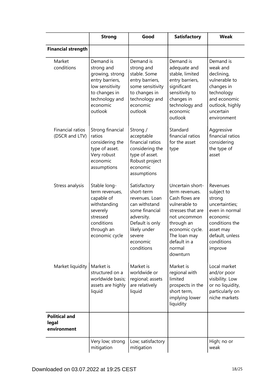|                                              | <b>Strong</b>                                                                                                                              | Good                                                                                                                                                                 | <b>Satisfactory</b>                                                                                                                                                                               | <b>Weak</b>                                                                                                                                                 |
|----------------------------------------------|--------------------------------------------------------------------------------------------------------------------------------------------|----------------------------------------------------------------------------------------------------------------------------------------------------------------------|---------------------------------------------------------------------------------------------------------------------------------------------------------------------------------------------------|-------------------------------------------------------------------------------------------------------------------------------------------------------------|
| <b>Financial strength</b>                    |                                                                                                                                            |                                                                                                                                                                      |                                                                                                                                                                                                   |                                                                                                                                                             |
| Market<br>conditions                         | Demand is<br>strong and<br>growing, strong<br>entry barriers,<br>low sensitivity<br>to changes in<br>technology and<br>economic<br>outlook | Demand is<br>strong and<br>stable. Some<br>entry barriers,<br>some sensitivity<br>to changes in<br>technology and<br>economic<br>outlook                             | Demand is<br>adequate and<br>stable, limited<br>entry barriers,<br>significant<br>sensitivity to<br>changes in<br>technology and<br>economic<br>outlook                                           | Demand is<br>weak and<br>declining,<br>vulnerable to<br>changes in<br>technology<br>and economic<br>outlook, highly<br>uncertain<br>environment             |
| <b>Financial ratios</b><br>(DSCR and LTV)    | Strong financial<br>ratios<br>considering the<br>type of asset.<br>Very robust<br>economic<br>assumptions                                  | Strong/<br>acceptable<br>financial ratios<br>considering the<br>type of asset.<br>Robust project<br>economic<br>assumptions                                          | Standard<br>financial ratios<br>for the asset<br>type                                                                                                                                             | Aggressive<br>financial ratios<br>considering<br>the type of<br>asset                                                                                       |
| Stress analysis                              | Stable long-<br>term revenues,<br>capable of<br>withstanding<br>severely<br>stressed<br>conditions<br>through an<br>economic cycle         | Satisfactory<br>short-term<br>revenues. Loan<br>can withstand<br>some financial<br>adversity.<br>Default is only<br>likely under<br>severe<br>economic<br>conditions | Uncertain short-<br>term revenues.<br>Cash flows are<br>vulnerable to<br>stresses that are<br>not uncommon<br>through an<br>economic cycle.<br>The loan may<br>default in a<br>normal<br>downturn | Revenues<br>subject to<br>strong<br>uncertainties;<br>even in normal<br>economic<br>conditions the<br>asset may<br>default, unless<br>conditions<br>improve |
| Market liquidity                             | Market is<br>structured on a<br>worldwide basis;<br>assets are highly<br>liquid                                                            | Market is<br>worldwide or<br>regional; assets<br>are relatively<br>liquid                                                                                            | Market is<br>regional with<br>limited<br>prospects in the<br>short term,<br>implying lower<br>liquidity                                                                                           | Local market<br>and/or poor<br>visibility. Low<br>or no liquidity,<br>particularly on<br>niche markets                                                      |
| <b>Political and</b><br>legal<br>environment |                                                                                                                                            |                                                                                                                                                                      |                                                                                                                                                                                                   |                                                                                                                                                             |
|                                              | Very low; strong<br>mitigation                                                                                                             | Low; satisfactory<br>mitigation                                                                                                                                      |                                                                                                                                                                                                   | High; no or<br>weak                                                                                                                                         |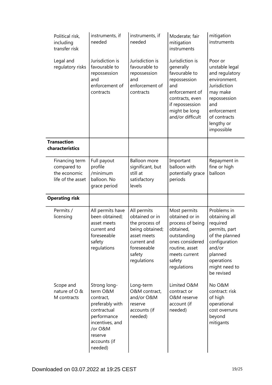| Political risk,<br>including<br>transfer risk                      | instruments, if<br>needed                                                                                | instruments, if<br>needed                                                                                                                | Moderate; fair<br>mitigation<br>instruments                                                                                                                       | mitigation<br>instruments                                                                                                                                                 |
|--------------------------------------------------------------------|----------------------------------------------------------------------------------------------------------|------------------------------------------------------------------------------------------------------------------------------------------|-------------------------------------------------------------------------------------------------------------------------------------------------------------------|---------------------------------------------------------------------------------------------------------------------------------------------------------------------------|
| Legal and<br>regulatory risks                                      | Jurisdiction is<br>favourable to<br>repossession<br>and<br>enforcement of<br>contracts                   | Jurisdiction is<br>favourable to<br>repossession<br>and<br>enforcement of<br>contracts                                                   | Jurisdiction is<br>generally<br>favourable to<br>repossession<br>and<br>enforcement of<br>contracts, even<br>if repossession<br>might be long<br>and/or difficult | Poor or<br>unstable legal<br>and regulatory<br>environment.<br>Jurisdiction<br>may make<br>repossession<br>and<br>enforcement<br>of contracts<br>lengthy or<br>impossible |
| <b>Transaction</b><br>characteristics                              |                                                                                                          |                                                                                                                                          |                                                                                                                                                                   |                                                                                                                                                                           |
| Financing term<br>compared to<br>the economic<br>life of the asset | Full payout<br>profile<br>/minimum<br>balloon. No<br>grace period                                        | <b>Balloon</b> more<br>significant, but<br>still at<br>satisfactory<br>levels                                                            | Important<br>balloon with<br>potentially grace<br>periods                                                                                                         | Repayment in<br>fine or high<br>balloon                                                                                                                                   |
| <b>Operating risk</b>                                              |                                                                                                          |                                                                                                                                          |                                                                                                                                                                   |                                                                                                                                                                           |
| Permits /<br>licensing                                             | All permits have<br>been obtained;<br>asset meets<br>current and<br>foreseeable<br>safety<br>regulations | All permits<br>obtained or in<br>the process of<br>being obtained;<br>asset meets<br>current and<br>foreseeable<br>safety<br>regulations | Most permits<br>obtained or in<br>process of being<br>obtained,<br>outstanding<br>ones considered<br>routine, asset<br>meets current<br>safety<br>regulations     | Problems in<br>obtaining all<br>required<br>permits, part<br>of the planned<br>configuration<br>and/or<br>planned<br>operations<br>might need to<br>be revised            |
| Scope and<br>nature of O &<br>M contracts                          | Strong long-<br>term O&M<br>contract,<br>preferably with<br>contractual                                  | Long-term<br>O&M contract,<br>and/or O&M<br>reserve<br>accounts (if<br>needed)                                                           | Limited O&M<br>contract or<br><b>O&amp;M</b> reserve<br>account (if<br>needed)                                                                                    | No O&M<br>contract: risk<br>of high<br>operational<br>cost overruns<br>beyond                                                                                             |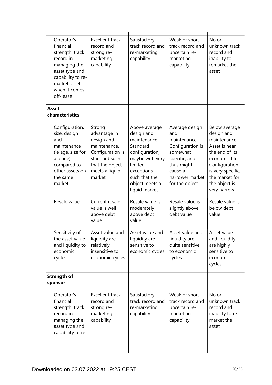| Operator's<br>financial<br>strength, track<br>record in<br>managing the<br>asset type and<br>capability to re-<br>market asset<br>when it comes<br>off-lease | <b>Excellent track</b><br>record and<br>strong re-<br>marketing<br>capability                                                            | Satisfactory<br>track record and<br>re-marketing<br>capability                                                                                                            | Weak or short<br>track record and<br>uncertain re-<br>marketing<br>capability                                                                        | No or<br>unknown track<br>record and<br>inability to<br>remarket the<br>asset                                                                                                            |
|--------------------------------------------------------------------------------------------------------------------------------------------------------------|------------------------------------------------------------------------------------------------------------------------------------------|---------------------------------------------------------------------------------------------------------------------------------------------------------------------------|------------------------------------------------------------------------------------------------------------------------------------------------------|------------------------------------------------------------------------------------------------------------------------------------------------------------------------------------------|
| <b>Asset</b><br>characteristics                                                                                                                              |                                                                                                                                          |                                                                                                                                                                           |                                                                                                                                                      |                                                                                                                                                                                          |
| Configuration,<br>size, design<br>and<br>maintenance<br>(ie age, size for<br>a plane)<br>compared to<br>other assets on<br>the same<br>market                | Strong<br>advantage in<br>design and<br>maintenance.<br>Configuration is<br>standard such<br>that the object<br>meets a liquid<br>market | Above average<br>design and<br>maintenance.<br>Standard<br>configuration,<br>maybe with very<br>limited<br>exceptions<br>such that the<br>object meets a<br>liquid market | Average design<br>and<br>maintenance.<br>Configuration is<br>somewhat<br>specific, and<br>thus might<br>cause a<br>narrower market<br>for the object | Below average<br>design and<br>maintenance.<br>Asset is near<br>the end of its<br>economic life.<br>Configuration<br>is very specific;<br>the market for<br>the object is<br>very narrow |
| Resale value                                                                                                                                                 | Current resale<br>value is well<br>above debt<br>value                                                                                   | Resale value is<br>moderately<br>above debt<br>value                                                                                                                      | Resale value is<br>slightly above<br>debt value                                                                                                      | Resale value is<br>below debt<br>value                                                                                                                                                   |
| Sensitivity of<br>the asset value<br>and liquidity to<br>economic<br>cycles                                                                                  | Asset value and<br>liquidity are<br>relatively<br>insensitive to<br>economic cycles                                                      | Asset value and<br>liquidity are<br>sensitive to<br>economic cycles                                                                                                       | Asset value and<br>liquidity are<br>quite sensitive<br>to economic<br>cycles                                                                         | Asset value<br>and liquidity<br>are highly<br>sensitive to<br>economic<br>cycles                                                                                                         |
| <b>Strength of</b><br>sponsor                                                                                                                                |                                                                                                                                          |                                                                                                                                                                           |                                                                                                                                                      |                                                                                                                                                                                          |
| Operator's<br>financial<br>strength, track<br>record in<br>managing the<br>asset type and<br>capability to re-                                               | <b>Excellent track</b><br>record and<br>strong re-<br>marketing<br>capability                                                            | Satisfactory<br>track record and<br>re-marketing<br>capability                                                                                                            | Weak or short<br>track record and<br>uncertain re-<br>marketing<br>capability                                                                        | No or<br>unknown track<br>record and<br>inability to re-<br>market the<br>asset                                                                                                          |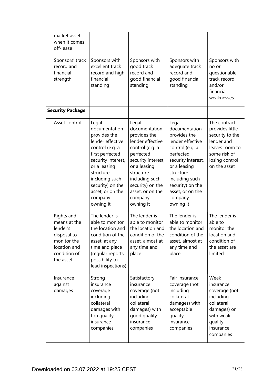| market asset<br>when it comes<br>off-lease<br>Sponsors' track<br>record and<br>financial<br>strength              | Sponsors with<br>excellent track<br>record and high<br>financial<br>standing                                                                                                                                                          | Sponsors with<br>good track<br>record and<br>good financial<br>standing                                                                                                                                                         | Sponsors with<br>adequate track<br>record and<br>good financial<br>standing                                                                                                                                                     | Sponsors with<br>no or<br>questionable<br>track record<br>and/or<br>financial<br>weaknesses                                          |
|-------------------------------------------------------------------------------------------------------------------|---------------------------------------------------------------------------------------------------------------------------------------------------------------------------------------------------------------------------------------|---------------------------------------------------------------------------------------------------------------------------------------------------------------------------------------------------------------------------------|---------------------------------------------------------------------------------------------------------------------------------------------------------------------------------------------------------------------------------|--------------------------------------------------------------------------------------------------------------------------------------|
| <b>Security Package</b>                                                                                           |                                                                                                                                                                                                                                       |                                                                                                                                                                                                                                 |                                                                                                                                                                                                                                 |                                                                                                                                      |
| Asset control                                                                                                     | Legal<br>documentation<br>provides the<br>lender effective<br>control (e.g. a<br>first perfected<br>security interest,<br>or a leasing<br>structure<br>including such<br>security) on the<br>asset, or on the<br>company<br>owning it | Legal<br>documentation<br>provides the<br>lender effective<br>control (e.g. a<br>perfected<br>security interest,<br>or a leasing<br>structure<br>including such<br>security) on the<br>asset, or on the<br>company<br>owning it | Legal<br>documentation<br>provides the<br>lender effective<br>control (e.g. a<br>perfected<br>security interest,<br>or a leasing<br>structure<br>including such<br>security) on the<br>asset, or on the<br>company<br>owning it | The contract<br>provides little<br>security to the<br>lender and<br>leaves room to<br>some risk of<br>losing control<br>on the asset |
| Rights and<br>means at the<br>lender's<br>disposal to<br>monitor the<br>location and<br>condition of<br>the asset | The lender is<br>able to monitor<br>the location and<br>condition of the<br>asset, at any<br>time and place<br>(regular reports,<br>possibility to<br>lead inspections)                                                               | The lender is<br>able to monitor<br>the location and<br>condition of the<br>asset, almost at<br>any time and<br>place                                                                                                           | The lender is<br>able to monitor<br>the location and<br>condition of the<br>asset, almost at<br>any time and<br>place                                                                                                           | The lender is<br>able to<br>monitor the<br>location and<br>condition of<br>the asset are<br>limited                                  |
| Insurance<br>against<br>damages                                                                                   | Strong<br>insurance<br>coverage<br>including<br>collateral<br>damages with<br>top quality<br>insurance<br>companies                                                                                                                   | Satisfactory<br>insurance<br>coverage (not<br>including<br>collateral<br>damages) with<br>good quality<br>insurance<br>companies                                                                                                | Fair insurance<br>coverage (not<br>including<br>collateral<br>damages) with<br>acceptable<br>quality<br>insurance<br>companies                                                                                                  | Weak<br>insurance<br>coverage (not<br>including<br>collateral<br>damages) or<br>with weak<br>quality<br>insurance<br>companies       |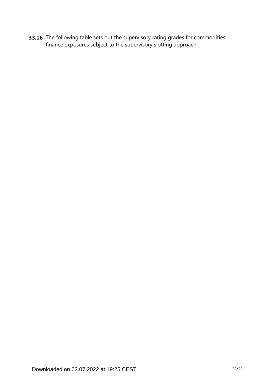**33.16** The following table sets out the supervisory rating grades for commodities finance exposures subject to the supervisory slotting approach.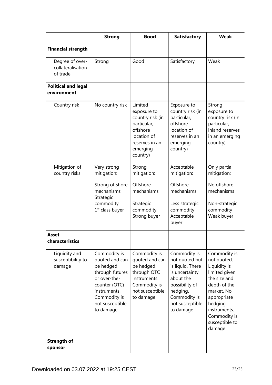|                                                  | <b>Strong</b>                                                                                                                                                   | Good                                                                                                                           | <b>Satisfactory</b>                                                                                                                                             | <b>Weak</b>                                                                                                                                                                                      |
|--------------------------------------------------|-----------------------------------------------------------------------------------------------------------------------------------------------------------------|--------------------------------------------------------------------------------------------------------------------------------|-----------------------------------------------------------------------------------------------------------------------------------------------------------------|--------------------------------------------------------------------------------------------------------------------------------------------------------------------------------------------------|
| <b>Financial strength</b>                        |                                                                                                                                                                 |                                                                                                                                |                                                                                                                                                                 |                                                                                                                                                                                                  |
| Degree of over-<br>collateralisation<br>of trade | Strong                                                                                                                                                          | Good                                                                                                                           | Satisfactory                                                                                                                                                    | Weak                                                                                                                                                                                             |
| <b>Political and legal</b><br>environment        |                                                                                                                                                                 |                                                                                                                                |                                                                                                                                                                 |                                                                                                                                                                                                  |
| Country risk                                     | No country risk                                                                                                                                                 | Limited<br>exposure to<br>country risk (in<br>particular,<br>offshore<br>location of<br>reserves in an<br>emerging<br>country) | Exposure to<br>country risk (in<br>particular,<br>offshore<br>location of<br>reserves in an<br>emerging<br>country)                                             | Strong<br>exposure to<br>country risk (in<br>particular,<br>inland reserves<br>in an emerging<br>country)                                                                                        |
| Mitigation of<br>country risks                   | Very strong<br>mitigation:                                                                                                                                      | Strong<br>mitigation:                                                                                                          | Acceptable<br>mitigation:                                                                                                                                       | Only partial<br>mitigation:                                                                                                                                                                      |
|                                                  | Strong offshore<br>mechanisms<br>Strategic<br>commodity<br>1 <sup>st</sup> class buyer                                                                          | Offshore<br>mechanisms<br>Strategic<br>commodity<br>Strong buyer                                                               | Offshore<br>mechanisms<br>Less strategic<br>commodity<br>Acceptable<br>buyer                                                                                    | No offshore<br>mechanisms<br>Non-strategic<br>commodity<br>Weak buyer                                                                                                                            |
| <b>Asset</b><br>characteristics                  |                                                                                                                                                                 |                                                                                                                                |                                                                                                                                                                 |                                                                                                                                                                                                  |
| Liquidity and<br>susceptibility to<br>damage     | Commodity is<br>quoted and can<br>be hedged<br>through futures<br>or over-the-<br>counter (OTC)<br>instruments.<br>Commodity is<br>not susceptible<br>to damage | Commodity is<br>quoted and can<br>be hedged<br>through OTC<br>instruments.<br>Commodity is<br>not susceptible<br>to damage     | Commodity is<br>not quoted but<br>is liquid. There<br>is uncertainty<br>about the<br>possibility of<br>hedging.<br>Commodity is<br>not susceptible<br>to damage | Commodity is<br>not quoted.<br>Liquidity is<br>limited given<br>the size and<br>depth of the<br>market. No<br>appropriate<br>hedging<br>instruments.<br>Commodity is<br>susceptible to<br>damage |
| <b>Strength of</b><br>sponsor                    |                                                                                                                                                                 |                                                                                                                                |                                                                                                                                                                 |                                                                                                                                                                                                  |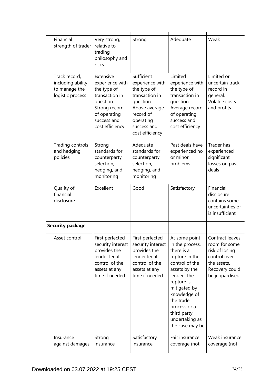| Financial<br>strength of trader                                         | Very strong,<br>relative to<br>trading<br>philosophy and<br>risks                                                                             | Strong                                                                                                                                                   | Adequate                                                                                                                                                                                                                                          | Weak                                                                                                                  |
|-------------------------------------------------------------------------|-----------------------------------------------------------------------------------------------------------------------------------------------|----------------------------------------------------------------------------------------------------------------------------------------------------------|---------------------------------------------------------------------------------------------------------------------------------------------------------------------------------------------------------------------------------------------------|-----------------------------------------------------------------------------------------------------------------------|
| Track record,<br>including ability<br>to manage the<br>logistic process | Extensive<br>experience with<br>the type of<br>transaction in<br>question.<br>Strong record<br>of operating<br>success and<br>cost efficiency | Sufficient<br>experience with<br>the type of<br>transaction in<br>question.<br>Above average<br>record of<br>operating<br>success and<br>cost efficiency | Limited<br>experience with<br>the type of<br>transaction in<br>question.<br>Average record<br>of operating<br>success and<br>cost efficiency                                                                                                      | Limited or<br>uncertain track<br>record in<br>general.<br>Volatile costs<br>and profits                               |
| Trading controls<br>and hedging<br>policies                             | Strong<br>standards for<br>counterparty<br>selection,<br>hedging, and<br>monitoring                                                           | Adequate<br>standards for<br>counterparty<br>selection,<br>hedging, and<br>monitoring                                                                    | Past deals have<br>experienced no<br>or minor<br>problems                                                                                                                                                                                         | <b>Trader has</b><br>experienced<br>significant<br>losses on past<br>deals                                            |
| Quality of<br>financial<br>disclosure                                   | Excellent                                                                                                                                     | Good                                                                                                                                                     | Satisfactory                                                                                                                                                                                                                                      | Financial<br>disclosure<br>contains some<br>uncertainties or<br>is insufficient                                       |
| <b>Security package</b>                                                 |                                                                                                                                               |                                                                                                                                                          |                                                                                                                                                                                                                                                   |                                                                                                                       |
| Asset control                                                           | First perfected<br>security interest<br>provides the<br>lender legal<br>control of the<br>assets at any<br>time if needed                     | First perfected<br>security interest<br>provides the<br>lender legal<br>control of the<br>assets at any<br>time if needed                                | At some point<br>in the process,<br>there is a<br>rupture in the<br>control of the<br>assets by the<br>lender. The<br>rupture is<br>mitigated by<br>knowledge of<br>the trade<br>process or a<br>third party<br>undertaking as<br>the case may be | Contract leaves<br>room for some<br>risk of losing<br>control over<br>the assets.<br>Recovery could<br>be jeopardised |
| Insurance<br>against damages                                            | Strong<br>insurance                                                                                                                           | Satisfactory<br>insurance                                                                                                                                | Fair insurance<br>coverage (not                                                                                                                                                                                                                   | Weak insurance<br>coverage (not                                                                                       |